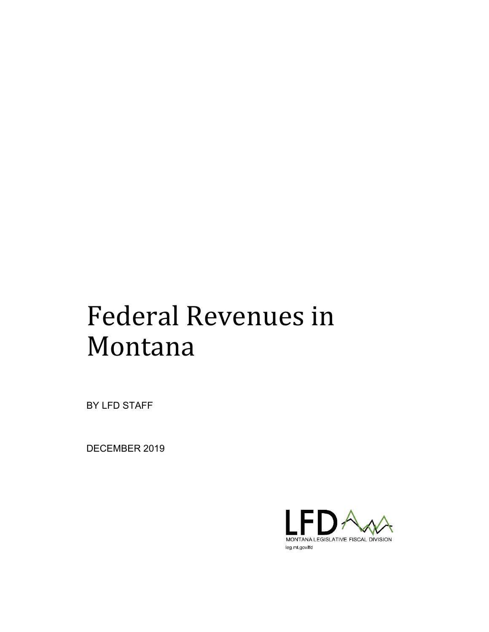# Federal Revenues in Montana

BY LFD STAFF

DECEMBER 2019

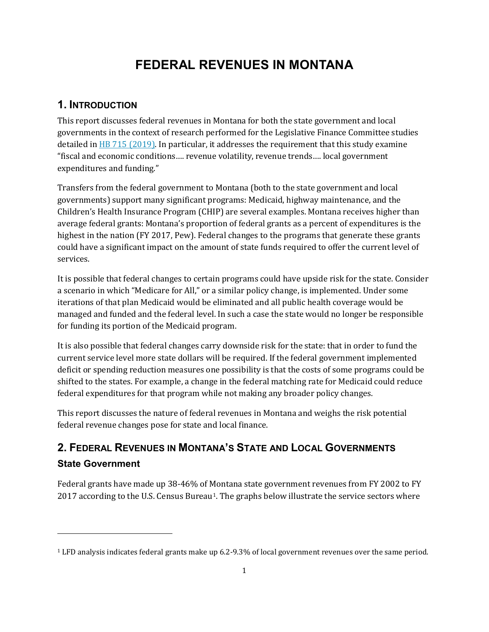# **FEDERAL REVENUES IN MONTANA**

# **1. INTRODUCTION**

j

This report discusses federal revenues in Montana for both the state government and local governments in the context of research performed for the Legislative Finance Committee studies detailed in  $H$ B 715 (2019). In particular, it addresses the requirement that this study examine "fiscal and economic conditions…. revenue volatility, revenue trends…. local government expenditures and funding."

Transfers from the federal government to Montana (both to the state government and local governments) support many significant programs: Medicaid, highway maintenance, and the Children's Health Insurance Program (CHIP) are several examples. Montana receives higher than average federal grants: Montana's proportion of federal grants as a percent of expenditures is the highest in the nation (FY 2017, Pew). Federal changes to the programs that generate these grants could have a significant impact on the amount of state funds required to offer the current level of services.

It is possible that federal changes to certain programs could have upside risk for the state. Consider a scenario in which "Medicare for All," or a similar policy change, is implemented. Under some iterations of that plan Medicaid would be eliminated and all public health coverage would be managed and funded and the federal level. In such a case the state would no longer be responsible for funding its portion of the Medicaid program.

It is also possible that federal changes carry downside risk for the state: that in order to fund the current service level more state dollars will be required. If the federal government implemented deficit or spending reduction measures one possibility is that the costs of some programs could be shifted to the states. For example, a change in the federal matching rate for Medicaid could reduce federal expenditures for that program while not making any broader policy changes.

This report discusses the nature of federal revenues in Montana and weighs the risk potential federal revenue changes pose for state and local finance.

# **2. FEDERAL REVENUES IN MONTANA'S STATE AND LOCAL GOVERNMENTS State Government**

Federal grants have made up 38-46% of Montana state government revenues from FY 2002 to FY 2017 according to the U.S. Census Bureau<sup>1</sup>. The graphs below illustrate the service sectors where

<span id="page-1-0"></span><sup>1</sup> LFD analysis indicates federal grants make up 6.2-9.3% of local government revenues over the same period.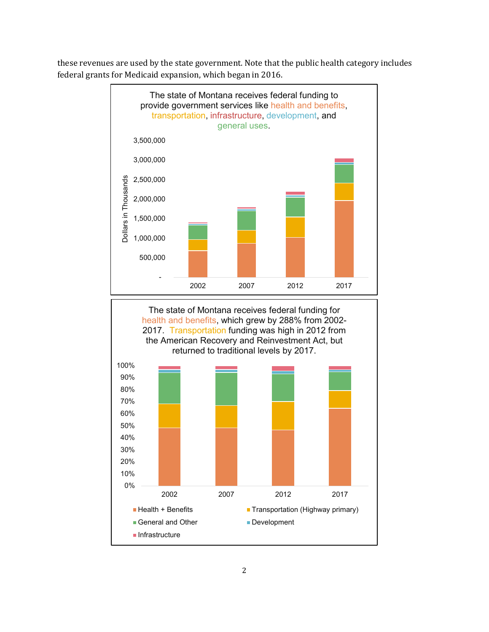these revenues are used by the state government. Note that the public health category includes federal grants for Medicaid expansion, which began in 2016.





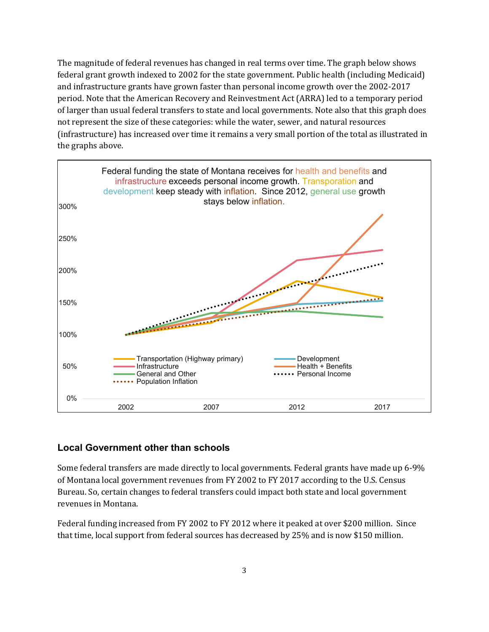The magnitude of federal revenues has changed in real terms over time. The graph below shows federal grant growth indexed to 2002 for the state government. Public health (including Medicaid) and infrastructure grants have grown faster than personal income growth over the 2002-2017 period. Note that the American Recovery and Reinvestment Act (ARRA) led to a temporary period of larger than usual federal transfers to state and local governments. Note also that this graph does not represent the size of these categories: while the water, sewer, and natural resources (infrastructure) has increased over time it remains a very small portion of the total as illustrated in the graphs above.



### **Local Government other than schools**

Some federal transfers are made directly to local governments. Federal grants have made up 6-9% of Montana local government revenues from FY 2002 to FY 2017 according to the U.S. Census Bureau. So, certain changes to federal transfers could impact both state and local government revenues in Montana.

Federal funding increased from FY 2002 to FY 2012 where it peaked at over \$200 million. Since that time, local support from federal sources has decreased by 25% and is now \$150 million.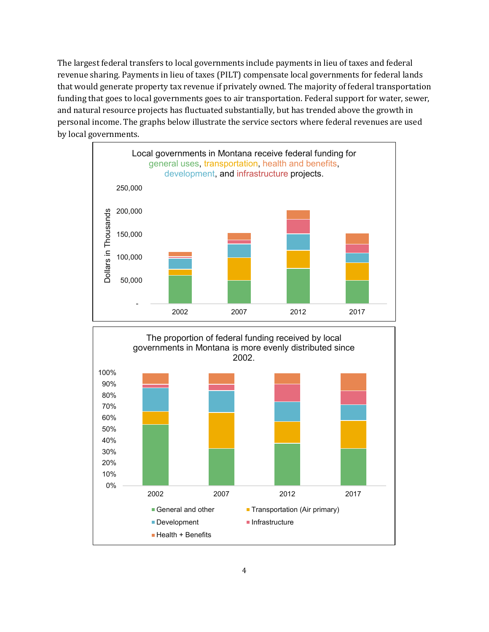The largest federal transfers to local governments include payments in lieu of taxes and federal revenue sharing. Payments in lieu of taxes (PILT) compensate local governments for federal lands that would generate property tax revenue if privately owned. The majority of federal transportation funding that goes to local governments goes to air transportation. Federal support for water, sewer, and natural resource projects has fluctuated substantially, but has trended above the growth in personal income. The graphs below illustrate the service sectors where federal revenues are used by local governments.



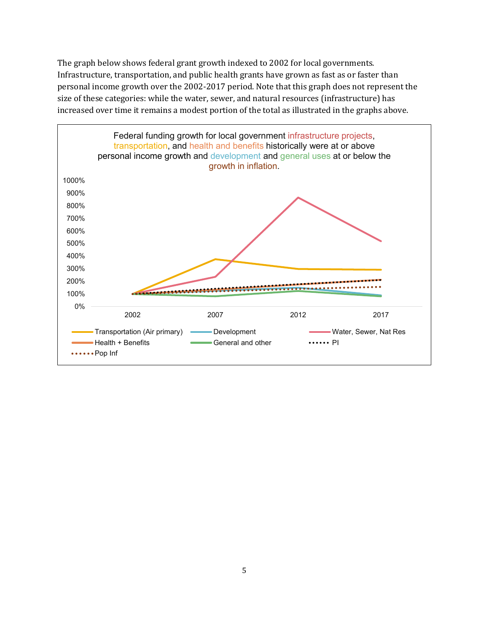The graph below shows federal grant growth indexed to 2002 for local governments. Infrastructure, transportation, and public health grants have grown as fast as or faster than personal income growth over the 2002-2017 period. Note that this graph does not represent the size of these categories: while the water, sewer, and natural resources (infrastructure) has increased over time it remains a modest portion of the total as illustrated in the graphs above.

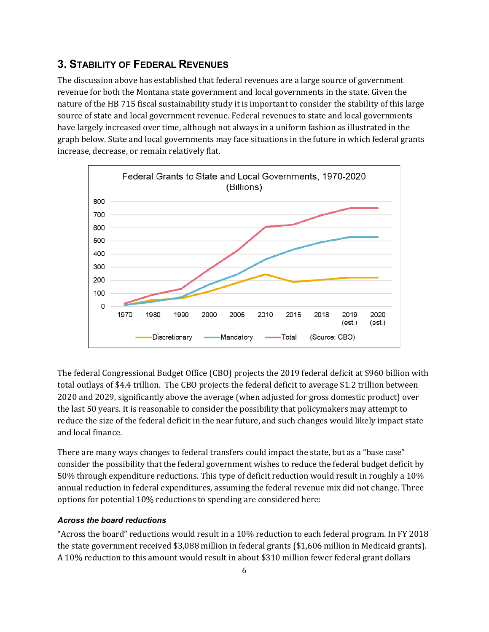## **3. STABILITY OF FEDERAL REVENUES**

The discussion above has established that federal revenues are a large source of government revenue for both the Montana state government and local governments in the state. Given the nature of the HB 715 fiscal sustainability study it is important to consider the stability of this large source of state and local government revenue. Federal revenues to state and local governments have largely increased over time, although not always in a uniform fashion as illustrated in the graph below. State and local governments may face situations in the future in which federal grants increase, decrease, or remain relatively flat.



The federal Congressional Budget Office (CBO) projects the 2019 federal deficit at \$960 billion with total outlays of \$4.4 trillion. The CBO projects the federal deficit to average \$1.2 trillion between 2020 and 2029, significantly above the average (when adjusted for gross domestic product) over the last 50 years. It is reasonable to consider the possibility that policymakers may attempt to reduce the size of the federal deficit in the near future, and such changes would likely impact state and local finance.

There are many ways changes to federal transfers could impact the state, but as a "base case" consider the possibility that the federal government wishes to reduce the federal budget deficit by 50% through expenditure reductions. This type of deficit reduction would result in roughly a 10% annual reduction in federal expenditures, assuming the federal revenue mix did not change. Three options for potential 10% reductions to spending are considered here:

#### *Across the board reductions*

"Across the board" reductions would result in a 10% reduction to each federal program. In FY 2018 the state government received \$3,088 million in federal grants (\$1,606 million in Medicaid grants). A 10% reduction to this amount would result in about \$310 million fewer federal grant dollars